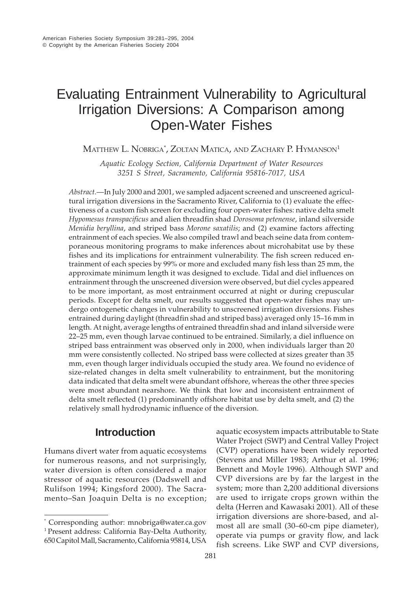# Evaluating Entrainment Vulnerability to Agricultural Irrigation Diversions: A Comparison among Open-Water Fishes

Matthew L. Nobriga\*, Zoltan Matica, and Zachary P. Hymanson<sup>1</sup>

*Aquatic Ecology Section, California Department of Water Resources 3251 S Street, Sacramento, California 95816-7017, USA*

*Abstract.*—In July 2000 and 2001, we sampled adjacent screened and unscreened agricultural irrigation diversions in the Sacramento River, California to (1) evaluate the effectiveness of a custom fish screen for excluding four open-water fishes: native delta smelt *Hypomesus transpacificus* and alien threadfin shad *Dorosoma petenense*, inland silverside *Menidia beryllina*, and striped bass *Morone saxatilis*; and (2) examine factors affecting entrainment of each species. We also compiled trawl and beach seine data from contemporaneous monitoring programs to make inferences about microhabitat use by these fishes and its implications for entrainment vulnerability. The fish screen reduced entrainment of each species by 99% or more and excluded many fish less than 25 mm, the approximate minimum length it was designed to exclude. Tidal and diel influences on entrainment through the unscreened diversion were observed, but diel cycles appeared to be more important, as most entrainment occurred at night or during crepuscular periods. Except for delta smelt, our results suggested that open-water fishes may undergo ontogenetic changes in vulnerability to unscreened irrigation diversions. Fishes entrained during daylight (threadfin shad and striped bass) averaged only 15–16 mm in length. At night, average lengths of entrained threadfin shad and inland silverside were 22–25 mm, even though larvae continued to be entrained. Similarly, a diel influence on striped bass entrainment was observed only in 2000, when individuals larger than 20 mm were consistently collected. No striped bass were collected at sizes greater than 35 mm, even though larger individuals occupied the study area. We found no evidence of size-related changes in delta smelt vulnerability to entrainment, but the monitoring data indicated that delta smelt were abundant offshore, whereas the other three species were most abundant nearshore. We think that low and inconsistent entrainment of delta smelt reflected (1) predominantly offshore habitat use by delta smelt, and (2) the relatively small hydrodynamic influence of the diversion.

# **Introduction**

Humans divert water from aquatic ecosystems for numerous reasons, and not surprisingly, water diversion is often considered a major stressor of aquatic resources (Dadswell and Rulifson 1994; Kingsford 2000). The Sacramento–San Joaquin Delta is no exception;

aquatic ecosystem impacts attributable to State Water Project (SWP) and Central Valley Project (CVP) operations have been widely reported (Stevens and Miller 1983; Arthur et al. 1996; Bennett and Moyle 1996). Although SWP and CVP diversions are by far the largest in the system; more than 2,200 additional diversions are used to irrigate crops grown within the delta (Herren and Kawasaki 2001). All of these irrigation diversions are shore-based, and almost all are small (30–60-cm pipe diameter), operate via pumps or gravity flow, and lack fish screens. Like SWP and CVP diversions,

<sup>\*</sup> Corresponding author: mnobriga@water.ca.gov <sup>1</sup> Present address: California Bay-Delta Authority, 650 Capitol Mall, Sacramento, California 95814, USA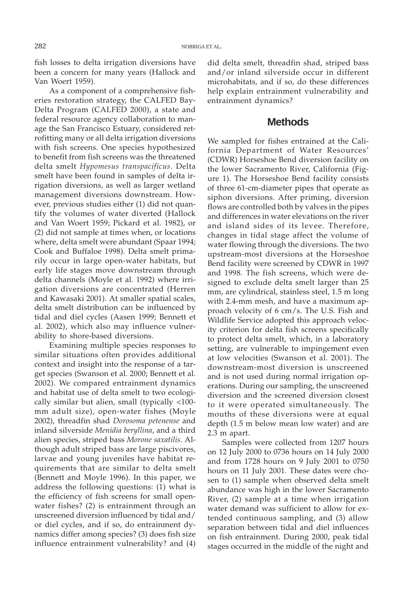fish losses to delta irrigation diversions have been a concern for many years (Hallock and Van Woert 1959).

As a component of a comprehensive fisheries restoration strategy, the CALFED Bay-Delta Program (CALFED 2000), a state and federal resource agency collaboration to manage the San Francisco Estuary, considered retrofitting many or all delta irrigation diversions with fish screens. One species hypothesized to benefit from fish screens was the threatened delta smelt *Hypomesus transpacificus*. Delta smelt have been found in samples of delta irrigation diversions, as well as larger wetland management diversions downstream. However, previous studies either (1) did not quantify the volumes of water diverted (Hallock and Van Woert 1959; Pickard et al. 1982), or (2) did not sample at times when, or locations where, delta smelt were abundant (Spaar 1994; Cook and Buffaloe 1998). Delta smelt primarily occur in large open-water habitats, but early life stages move downstream through delta channels (Moyle et al. 1992) where irrigation diversions are concentrated (Herren and Kawasaki 2001). At smaller spatial scales, delta smelt distribution can be influenced by tidal and diel cycles (Aasen 1999; Bennett et al. 2002), which also may influence vulnerability to shore-based diversions.

Examining multiple species responses to similar situations often provides additional context and insight into the response of a target species (Swanson et al. 2000; Bennett et al. 2002). We compared entrainment dynamics and habitat use of delta smelt to two ecologically similar but alien, small (typically <100 mm adult size), open-water fishes (Moyle 2002), threadfin shad *Dorosoma petenense* and inland silverside *Menidia beryllina*, and a third alien species, striped bass *Morone saxatilis*. Although adult striped bass are large piscivores, larvae and young juveniles have habitat requirements that are similar to delta smelt (Bennett and Moyle 1996). In this paper, we address the following questions: (1) what is the efficiency of fish screens for small openwater fishes? (2) is entrainment through an unscreened diversion influenced by tidal and/ or diel cycles, and if so, do entrainment dynamics differ among species? (3) does fish size influence entrainment vulnerability? and (4) did delta smelt, threadfin shad, striped bass and/or inland silverside occur in different microhabitats, and if so, do these differences help explain entrainment vulnerability and entrainment dynamics?

#### **Methods**

We sampled for fishes entrained at the California Department of Water Resources' (CDWR) Horseshoe Bend diversion facility on the lower Sacramento River, California (Figure 1). The Horseshoe Bend facility consists of three 61-cm-diameter pipes that operate as siphon diversions. After priming, diversion flows are controlled both by valves in the pipes and differences in water elevations on the river and island sides of its levee. Therefore, changes in tidal stage affect the volume of water flowing through the diversions. The two upstream-most diversions at the Horseshoe Bend facility were screened by CDWR in 1997 and 1998. The fish screens, which were designed to exclude delta smelt larger than 25 mm, are cylindrical, stainless steel, 1.5 m long with 2.4-mm mesh, and have a maximum approach velocity of 6 cm/s. The U.S. Fish and Wildlife Service adopted this approach velocity criterion for delta fish screens specifically to protect delta smelt, which, in a laboratory setting, are vulnerable to impingement even at low velocities (Swanson et al. 2001). The downstream-most diversion is unscreened and is not used during normal irrigation operations. During our sampling, the unscreened diversion and the screened diversion closest to it were operated simultaneously. The mouths of these diversions were at equal depth (1.5 m below mean low water) and are 2.3 m apart.

Samples were collected from 1207 hours on 12 July 2000 to 0736 hours on 14 July 2000 and from 1728 hours on 9 July 2001 to 0750 hours on 11 July 2001. These dates were chosen to (1) sample when observed delta smelt abundance was high in the lower Sacramento River, (2) sample at a time when irrigation water demand was sufficient to allow for extended continuous sampling, and (3) allow separation between tidal and diel influences on fish entrainment. During 2000, peak tidal stages occurred in the middle of the night and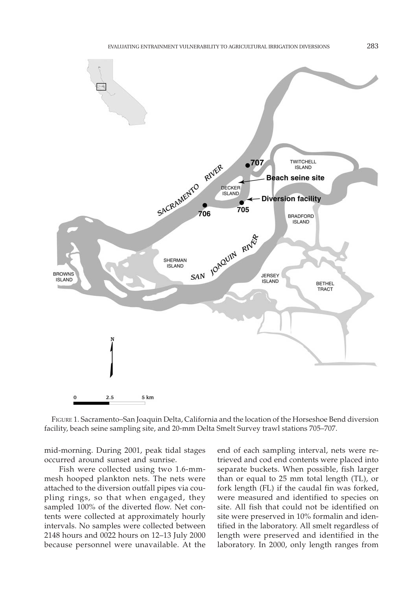

FIGURE 1. Sacramento–San Joaquin Delta, California and the location of the Horseshoe Bend diversion facility, beach seine sampling site, and 20-mm Delta Smelt Survey trawl stations 705–707.

mid-morning. During 2001, peak tidal stages occurred around sunset and sunrise.

Fish were collected using two 1.6-mmmesh hooped plankton nets. The nets were attached to the diversion outfall pipes via coupling rings, so that when engaged, they sampled 100% of the diverted flow. Net contents were collected at approximately hourly intervals. No samples were collected between 2148 hours and 0022 hours on 12–13 July 2000 because personnel were unavailable. At the end of each sampling interval, nets were retrieved and cod end contents were placed into separate buckets. When possible, fish larger than or equal to 25 mm total length (TL), or fork length (FL) if the caudal fin was forked, were measured and identified to species on site. All fish that could not be identified on site were preserved in 10% formalin and identified in the laboratory. All smelt regardless of length were preserved and identified in the laboratory. In 2000, only length ranges from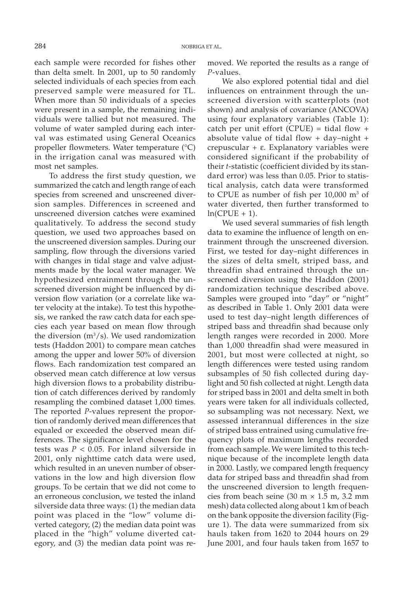each sample were recorded for fishes other than delta smelt. In 2001, up to 50 randomly selected individuals of each species from each preserved sample were measured for TL. When more than 50 individuals of a species were present in a sample, the remaining individuals were tallied but not measured. The volume of water sampled during each interval was estimated using General Oceanics propeller flowmeters. Water temperature (°C) in the irrigation canal was measured with most net samples.

To address the first study question, we summarized the catch and length range of each species from screened and unscreened diversion samples. Differences in screened and unscreened diversion catches were examined qualitatively. To address the second study question, we used two approaches based on the unscreened diversion samples. During our sampling, flow through the diversions varied with changes in tidal stage and valve adjustments made by the local water manager. We hypothesized entrainment through the unscreened diversion might be influenced by diversion flow variation (or a correlate like water velocity at the intake). To test this hypothesis, we ranked the raw catch data for each species each year based on mean flow through the diversion  $(m^3/s)$ . We used randomization tests (Haddon 2001) to compare mean catches among the upper and lower 50% of diversion flows. Each randomization test compared an observed mean catch difference at low versus high diversion flows to a probability distribution of catch differences derived by randomly resampling the combined dataset 1,000 times. The reported *P*-values represent the proportion of randomly derived mean differences that equaled or exceeded the observed mean differences. The significance level chosen for the tests was *P* < 0.05. For inland silverside in 2001, only nighttime catch data were used, which resulted in an uneven number of observations in the low and high diversion flow groups. To be certain that we did not come to an erroneous conclusion, we tested the inland silverside data three ways: (1) the median data point was placed in the "low" volume diverted category, (2) the median data point was placed in the "high" volume diverted category, and (3) the median data point was removed. We reported the results as a range of *P*-values.

We also explored potential tidal and diel influences on entrainment through the unscreened diversion with scatterplots (not shown) and analysis of covariance (ANCOVA) using four explanatory variables (Table 1): catch per unit effort (CPUE) = tidal flow + absolute value of tidal flow + day–night + crepuscular + ε. Explanatory variables were considered significant if the probability of their *t*-statistic (coefficient divided by its standard error) was less than 0.05. Prior to statistical analysis, catch data were transformed to CPUE as number of fish per 10,000 m<sup>3</sup> of water diverted, then further transformed to  $ln(CPUE + 1)$ .

We used several summaries of fish length data to examine the influence of length on entrainment through the unscreened diversion. First, we tested for day–night differences in the sizes of delta smelt, striped bass, and threadfin shad entrained through the unscreened diversion using the Haddon (2001) randomization technique described above. Samples were grouped into "day" or "night" as described in Table 1. Only 2001 data were used to test day–night length differences of striped bass and threadfin shad because only length ranges were recorded in 2000. More than 1,000 threadfin shad were measured in 2001, but most were collected at night, so length differences were tested using random subsamples of 50 fish collected during daylight and 50 fish collected at night. Length data for striped bass in 2001 and delta smelt in both years were taken for all individuals collected, so subsampling was not necessary. Next, we assessed interannual differences in the size of striped bass entrained using cumulative frequency plots of maximum lengths recorded from each sample. We were limited to this technique because of the incomplete length data in 2000. Lastly, we compared length frequency data for striped bass and threadfin shad from the unscreened diversion to length frequencies from beach seine (30 m  $\times$  1.5 m, 3.2 mm mesh) data collected along about 1 km of beach on the bank opposite the diversion facility (Figure 1). The data were summarized from six hauls taken from 1620 to 2044 hours on 29 June 2001, and four hauls taken from 1657 to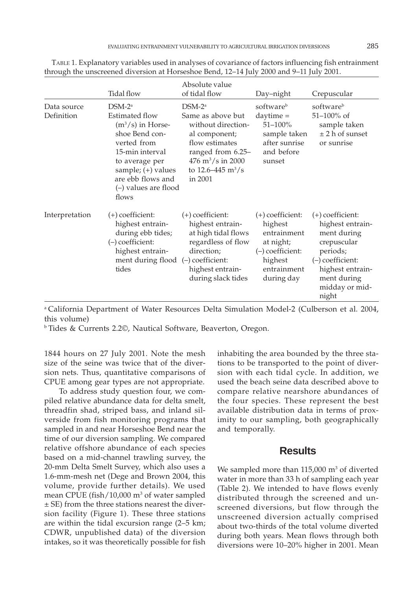|                           | Tidal flow                                                                                                                                                                                             | Absolute value<br>of tidal flow                                                                                                                                                              | Day-night                                                                                                               | Crepuscular                                                                                                                                                          |
|---------------------------|--------------------------------------------------------------------------------------------------------------------------------------------------------------------------------------------------------|----------------------------------------------------------------------------------------------------------------------------------------------------------------------------------------------|-------------------------------------------------------------------------------------------------------------------------|----------------------------------------------------------------------------------------------------------------------------------------------------------------------|
| Data source<br>Definition | $DSM-2a$<br>Estimated flow<br>$(m3/s)$ in Horse-<br>shoe Bend con-<br>verted from<br>15-min interval<br>to average per<br>sample; $(+)$ values<br>are ebb flows and<br>$(-)$ values are flood<br>flows | $DSM-2a$<br>Same as above but<br>without direction-<br>al component;<br>flow estimates<br>ranged from 6.25-<br>476 m <sup>3</sup> /s in 2000<br>to $12.6 - 445$ m <sup>3</sup> /s<br>in 2001 | software <sup>b</sup><br>$daytime =$<br>$51 - 100%$<br>sample taken<br>after sunrise<br>and before<br>sunset            | software <sup>b</sup><br>51-100% of<br>sample taken<br>$\pm$ 2 h of sunset<br>or sunrise                                                                             |
| Interpretation            | $(+)$ coefficient:<br>highest entrain-<br>during ebb tides;<br>$(-)$ coefficient:<br>highest entrain-<br>ment during flood (-) coefficient:<br>tides                                                   | $(+)$ coefficient:<br>highest entrain-<br>at high tidal flows<br>regardless of flow<br>direction;<br>highest entrain-<br>during slack tides                                                  | $(+)$ coefficient:<br>highest<br>entrainment<br>at night;<br>$(-)$ coefficient:<br>highest<br>entrainment<br>during day | $(+)$ coefficient:<br>highest entrain-<br>ment during<br>crepuscular<br>periods;<br>$(-)$ coefficient:<br>highest entrain-<br>ment during<br>midday or mid-<br>night |

TABLE 1. Explanatory variables used in analyses of covariance of factors influencing fish entrainment through the unscreened diversion at Horseshoe Bend, 12–14 July 2000 and 9–11 July 2001.

a California Department of Water Resources Delta Simulation Model-2 (Culberson et al. 2004, this volume)

b Tides & Currents 2.2©, Nautical Software, Beaverton, Oregon.

1844 hours on 27 July 2001. Note the mesh size of the seine was twice that of the diversion nets. Thus, quantitative comparisons of CPUE among gear types are not appropriate.

To address study question four, we compiled relative abundance data for delta smelt, threadfin shad, striped bass, and inland silverside from fish monitoring programs that sampled in and near Horseshoe Bend near the time of our diversion sampling. We compared relative offshore abundance of each species based on a mid-channel trawling survey, the 20-mm Delta Smelt Survey, which also uses a 1.6-mm-mesh net (Dege and Brown 2004, this volume, provide further details). We used mean CPUE (fish/10,000 m<sup>3</sup> of water sampled ± SE) from the three stations nearest the diversion facility (Figure 1). These three stations are within the tidal excursion range (2–5 km; CDWR, unpublished data) of the diversion intakes, so it was theoretically possible for fish

inhabiting the area bounded by the three stations to be transported to the point of diversion with each tidal cycle. In addition, we used the beach seine data described above to compare relative nearshore abundances of the four species. These represent the best available distribution data in terms of proximity to our sampling, both geographically and temporally.

#### **Results**

We sampled more than  $115,000$  m<sup>3</sup> of diverted water in more than 33 h of sampling each year (Table 2). We intended to have flows evenly distributed through the screened and unscreened diversions, but flow through the unscreened diversion actually comprised about two-thirds of the total volume diverted during both years. Mean flows through both diversions were 10–20% higher in 2001. Mean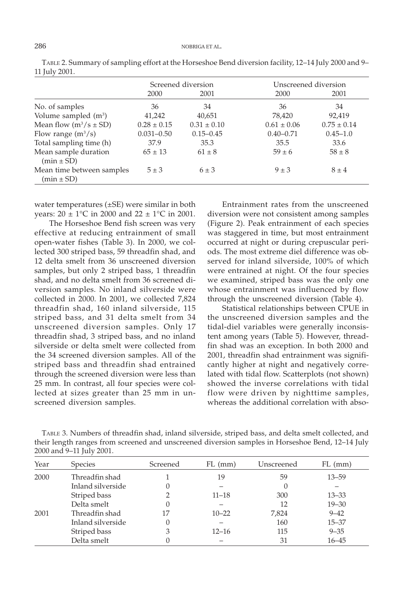|                                             | Screened diversion |                 | Unscreened diversion |                 |
|---------------------------------------------|--------------------|-----------------|----------------------|-----------------|
|                                             | 2000               | 2001            | 2000                 | 2001            |
| No. of samples                              | 36                 | 34              | 36                   | 34              |
| Volume sampled $(m^3)$                      | 41,242             | 40,651          | 78,420               | 92,419          |
| Mean flow $(m^3/s \pm SD)$                  | $0.28 \pm 0.15$    | $0.31 \pm 0.10$ | $0.61 \pm 0.06$      | $0.75 \pm 0.14$ |
| Flow range $(m^3/s)$                        | $0.031 - 0.50$     | $0.15 - 0.45$   | $0.40 - 0.71$        | $0.45 - 1.0$    |
| Total sampling time (h)                     | 37.9               | 35.3            | 35.5                 | 33.6            |
| Mean sample duration<br>$(min \pm SD)$      | $65 \pm 13$        | $61 \pm 8$      | $59 \pm 6$           | $58 \pm 8$      |
| Mean time between samples<br>$(min \pm SD)$ | $5 \pm 3$          | $6 \pm 3$       | $9 \pm 3$            | $8 \pm 4$       |

|  |               |  |  |  | TABLE 2. Summary of sampling effort at the Horseshoe Bend diversion facility, 12-14 July 2000 and 9- |  |  |  |
|--|---------------|--|--|--|------------------------------------------------------------------------------------------------------|--|--|--|
|  | 11 July 2001. |  |  |  |                                                                                                      |  |  |  |

water temperatures  $(\pm SE)$  were similar in both years:  $20 \pm 1$ °C in 2000 and  $22 \pm 1$ °C in 2001.

The Horseshoe Bend fish screen was very effective at reducing entrainment of small open-water fishes (Table 3). In 2000, we collected 300 striped bass, 59 threadfin shad, and 12 delta smelt from 36 unscreened diversion samples, but only 2 striped bass, 1 threadfin shad, and no delta smelt from 36 screened diversion samples. No inland silverside were collected in 2000. In 2001, we collected 7,824 threadfin shad, 160 inland silverside, 115 striped bass, and 31 delta smelt from 34 unscreened diversion samples. Only 17 threadfin shad, 3 striped bass, and no inland silverside or delta smelt were collected from the 34 screened diversion samples. All of the striped bass and threadfin shad entrained through the screened diversion were less than 25 mm. In contrast, all four species were collected at sizes greater than 25 mm in unscreened diversion samples.

Entrainment rates from the unscreened diversion were not consistent among samples (Figure 2). Peak entrainment of each species was staggered in time, but most entrainment occurred at night or during crepuscular periods. The most extreme diel difference was observed for inland silverside, 100% of which were entrained at night. Of the four species we examined, striped bass was the only one whose entrainment was influenced by flow through the unscreened diversion (Table 4).

Statistical relationships between CPUE in the unscreened diversion samples and the tidal-diel variables were generally inconsistent among years (Table 5). However, threadfin shad was an exception. In both 2000 and 2001, threadfin shad entrainment was significantly higher at night and negatively correlated with tidal flow. Scatterplots (not shown) showed the inverse correlations with tidal flow were driven by nighttime samples, whereas the additional correlation with abso-

TABLE 3. Numbers of threadfin shad, inland silverside, striped bass, and delta smelt collected, and their length ranges from screened and unscreened diversion samples in Horseshoe Bend, 12–14 July 2000 and 9–11 July 2001.

| Year | <b>Species</b>    | Screened | $FL$ (mm) | Unscreened | $FL$ (mm) |
|------|-------------------|----------|-----------|------------|-----------|
| 2000 | Threadfin shad    |          | 19        | 59         | $13 - 59$ |
|      | Inland silverside |          |           | U          |           |
|      | Striped bass      |          | $11 - 18$ | 300        | $13 - 33$ |
|      | Delta smelt       |          |           | 12         | $19 - 30$ |
| 2001 | Threadfin shad    | 17       | $10 - 22$ | 7,824      | $9 - 42$  |
|      | Inland silverside |          |           | 160        | $15 - 37$ |
|      | Striped bass      | З        | $12 - 16$ | 115        | $9 - 35$  |
|      | Delta smelt       |          |           | 31         | $16 - 45$ |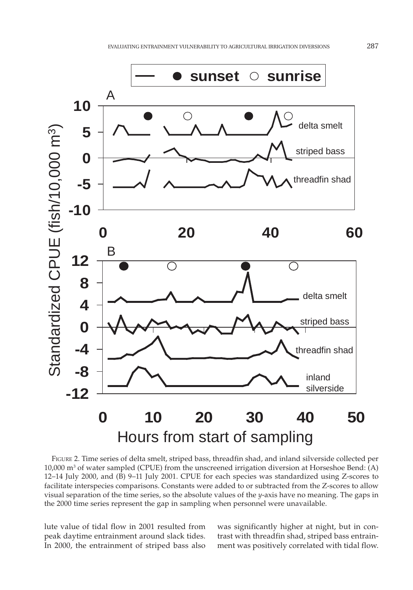

FIGURE 2. Time series of delta smelt, striped bass, threadfin shad, and inland silverside collected per 10,000 m<sup>3</sup> of water sampled (CPUE) from the unscreened irrigation diversion at Horseshoe Bend: (A) 12–14 July 2000, and (B) 9–11 July 2001. CPUE for each species was standardized using Z-scores to facilitate interspecies comparisons. Constants were added to or subtracted from the Z-scores to allow visual separation of the time series, so the absolute values of the *y*-axis have no meaning. The gaps in the 2000 time series represent the gap in sampling when personnel were unavailable.

lute value of tidal flow in 2001 resulted from peak daytime entrainment around slack tides. In 2000, the entrainment of striped bass also was significantly higher at night, but in contrast with threadfin shad, striped bass entrainment was positively correlated with tidal flow.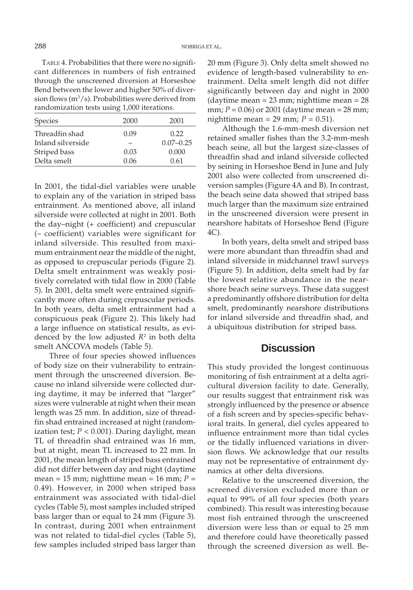TABLE 4. Probabilities that there were no significant differences in numbers of fish entrained through the unscreened diversion at Horseshoe Bend between the lower and higher 50% of diversion flows (m $3/$ s). Probabilities were derived from randomization tests using 1,000 iterations.

| Species           | 2000 | 2001          |
|-------------------|------|---------------|
| Threadfin shad    | 0.09 | 0.22          |
| Inland silverside |      | $0.07 - 0.25$ |
| Striped bass      | 0.03 | 0.000         |
| Delta smelt       | 0.06 | 0.61          |
|                   |      |               |

In 2001, the tidal-diel variables were unable to explain any of the variation in striped bass entrainment. As mentioned above, all inland silverside were collected at night in 2001. Both the day–night (+ coefficient) and crepuscular (– coefficient) variables were significant for inland silverside. This resulted from maximum entrainment near the middle of the night, as opposed to crepuscular periods (Figure 2). Delta smelt entrainment was weakly positively correlated with tidal flow in 2000 (Table 5). In 2001, delta smelt were entrained significantly more often during crepuscular periods. In both years, delta smelt entrainment had a conspicuous peak (Figure 2). This likely had a large influence on statistical results, as evidenced by the low adjusted *R*<sup>2</sup> in both delta smelt ANCOVA models (Table 5).

Three of four species showed influences of body size on their vulnerability to entrainment through the unscreened diversion. Because no inland silverside were collected during daytime, it may be inferred that "larger" sizes were vulnerable at night when their mean length was 25 mm. In addition, size of threadfin shad entrained increased at night (randomization test;  $P < 0.001$ ). During daylight, mean TL of threadfin shad entrained was 16 mm, but at night, mean TL increased to 22 mm. In 2001, the mean length of striped bass entrained did not differ between day and night (daytime mean = 15 mm; nighttime mean = 16 mm; *P* = 0.49). However, in 2000 when striped bass entrainment was associated with tidal-diel cycles (Table 5), most samples included striped bass larger than or equal to 24 mm (Figure 3). In contrast, during 2001 when entrainment was not related to tidal-diel cycles (Table 5), few samples included striped bass larger than 20 mm (Figure 3). Only delta smelt showed no evidence of length-based vulnerability to entrainment. Delta smelt length did not differ significantly between day and night in 2000 (daytime mean = 23 mm; nighttime mean = 28 mm; *P* = 0.06) or 2001 (daytime mean = 28 mm; nighttime mean =  $29$  mm;  $P = 0.51$ ).

Although the 1.6-mm-mesh diversion net retained smaller fishes than the 3.2-mm-mesh beach seine, all but the largest size-classes of threadfin shad and inland silverside collected by seining in Horseshoe Bend in June and July 2001 also were collected from unscreened diversion samples (Figure 4A and B). In contrast, the beach seine data showed that striped bass much larger than the maximum size entrained in the unscreened diversion were present in nearshore habitats of Horseshoe Bend (Figure 4C).

In both years, delta smelt and striped bass were more abundant than threadfin shad and inland silverside in midchannel trawl surveys (Figure 5). In addition, delta smelt had by far the lowest relative abundance in the nearshore beach seine surveys. These data suggest a predominantly offshore distribution for delta smelt, predominantly nearshore distributions for inland silverside and threadfin shad, and a ubiquitous distribution for striped bass.

### **Discussion**

This study provided the longest continuous monitoring of fish entrainment at a delta agricultural diversion facility to date. Generally, our results suggest that entrainment risk was strongly influenced by the presence or absence of a fish screen and by species-specific behavioral traits. In general, diel cycles appeared to influence entrainment more than tidal cycles or the tidally influenced variations in diversion flows. We acknowledge that our results may not be representative of entrainment dynamics at other delta diversions.

Relative to the unscreened diversion, the screened diversion excluded more than or equal to 99% of all four species (both years combined). This result was interesting because most fish entrained through the unscreened diversion were less than or equal to 25 mm and therefore could have theoretically passed through the screened diversion as well. Be-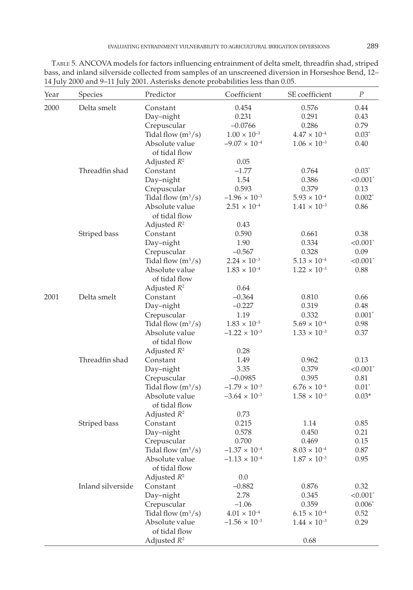| Delta smelt<br>0.454<br>0.576<br>0.44<br>Constant<br>0.231<br>0.291<br>Day-night<br>0.43<br>0.286<br>0.79<br>Crepuscular<br>$-0.0766$<br>Tidal flow $(m^3/s)$<br>$1.00 \times 10^{-3}$<br>$4.47\times10^{\text{-}4}$<br>$0.03*$<br>0.40<br>Absolute value<br>$-9.07 \times 10^{-4}$<br>$1.06 \times 10^{-3}$<br>of tidal flow<br>Adjusted $R^2$<br>0.05<br>Threadfin shad<br>$-1.77$<br>0.764<br>$0.03^*$<br>Constant<br>0.386<br>Day-night<br>1.54<br>$< 0.001$ <sup>*</sup><br>0.593<br>0.379<br>Crepuscular<br>0.13<br>Tidal flow $(m^3/s)$<br>$-1.96 \times 10^{-3}$<br>$5.93 \times 10^{-4}$<br>$0.002^*$<br>Absolute value<br>$2.51 \times 10^{-4}$<br>$1.41 \times 10^{-3}$<br>0.86<br>of tidal flow<br>Adjusted $R^2$<br>0.43<br>Striped bass<br>Constant<br>0.590<br>0.661<br>0.38<br>1.90<br>0.334<br>Day-night<br>$< 0.001$ <sup>*</sup><br>0.328<br>0.09<br>Crepuscular<br>$-0.567$<br>$5.13 \times 10^{-4}$<br>Tidal flow $(m^3/s)$<br>$2.24 \times 10^{-3}$<br>$< 0.001$ <sup>*</sup><br>Absolute value<br>$1.22 \times 10^{-3}$<br>0.88<br>$1.83 \times 10^{-4}$<br>of tidal flow<br>Adjusted $R^2$<br>0.64<br>2001<br>Delta smelt<br>0.810<br>Constant<br>$-0.364$<br>0.66<br>$-0.227$<br>0.319<br>0.48<br>Day-night<br>0.332<br>Crepuscular<br>1.19<br>$0.001*$<br>$1.83 \times 10^{-5}$<br>$5.69 \times 10^{-4}$<br>0.98<br>Tidal flow $(m^3/s)$<br>Absolute value<br>$-1.22 \times 10^{-3}$<br>$1.33 \times 10^{-3}$<br>0.37<br>of tidal flow<br>Adjusted $R^2$<br>0.28<br>Threadfin shad<br>Constant<br>1.49<br>0.962<br>0.13<br>3.35<br>0.379<br>$< 0.001$ <sup>*</sup><br>Day-night<br>$-0.0985$<br>0.395<br>Crepuscular<br>0.81<br>Tidal flow $(m^3/s)$<br>$-1.79 \times 10^{-3}$<br>$6.76 \times 10^{-4}$<br>$0.01*$<br>$1.58 \times 10^{-3}$<br>Absolute value<br>$-3.64 \times 10^{-3}$<br>$0.03*$<br>of tidal flow<br>0.73<br>Adjusted $R^2$<br>0.215<br>Striped bass<br>Constant<br>1.14<br>0.85<br>0.578<br>0.21<br>0.450<br>Day-night<br>0.700<br>0.15<br>Crepuscular<br>0.469<br>0.87<br>Tidal flow $(m^3/s)$<br>$-1.37 \times 10^{-4}$<br>$8.03 \times 10^{-4}$<br>$1.87 \times 10^{-3}$<br>$-1.13\times10^{-4}$<br>Absolute value<br>0.95<br>of tidal flow<br>Adjusted $R^2$<br>0.0<br>Inland silverside<br>$-0.882$<br>0.32<br>Constant<br>0.876<br>Day-night<br>2.78<br>0.345<br>$< 0.001$ <sup>*</sup><br>Crepuscular<br>$-1.06$<br>0.359<br>$0.006*$<br>Tidal flow $(m^3/s)$<br>$4.01\times10^{-4}$<br>$6.15 \times 10^{-4}$<br>0.52<br>Absolute value<br>$-1.56\times10^{-3}$<br>$1.44 \times 10^{-3}$<br>0.29 | Year | Species | Predictor     | Coefficient | SE coefficient | $\boldsymbol{P}$ |
|------------------------------------------------------------------------------------------------------------------------------------------------------------------------------------------------------------------------------------------------------------------------------------------------------------------------------------------------------------------------------------------------------------------------------------------------------------------------------------------------------------------------------------------------------------------------------------------------------------------------------------------------------------------------------------------------------------------------------------------------------------------------------------------------------------------------------------------------------------------------------------------------------------------------------------------------------------------------------------------------------------------------------------------------------------------------------------------------------------------------------------------------------------------------------------------------------------------------------------------------------------------------------------------------------------------------------------------------------------------------------------------------------------------------------------------------------------------------------------------------------------------------------------------------------------------------------------------------------------------------------------------------------------------------------------------------------------------------------------------------------------------------------------------------------------------------------------------------------------------------------------------------------------------------------------------------------------------------------------------------------------------------------------------------------------------------------------------------------------------------------------------------------------------------------------------------------------------------------------------------------------------------------------------------------------------------------------------------------------------------------------------------------------------------------------------------------------------------------------------------------------------------------------------------------|------|---------|---------------|-------------|----------------|------------------|
|                                                                                                                                                                                                                                                                                                                                                                                                                                                                                                                                                                                                                                                                                                                                                                                                                                                                                                                                                                                                                                                                                                                                                                                                                                                                                                                                                                                                                                                                                                                                                                                                                                                                                                                                                                                                                                                                                                                                                                                                                                                                                                                                                                                                                                                                                                                                                                                                                                                                                                                                                      | 2000 |         |               |             |                |                  |
|                                                                                                                                                                                                                                                                                                                                                                                                                                                                                                                                                                                                                                                                                                                                                                                                                                                                                                                                                                                                                                                                                                                                                                                                                                                                                                                                                                                                                                                                                                                                                                                                                                                                                                                                                                                                                                                                                                                                                                                                                                                                                                                                                                                                                                                                                                                                                                                                                                                                                                                                                      |      |         |               |             |                |                  |
|                                                                                                                                                                                                                                                                                                                                                                                                                                                                                                                                                                                                                                                                                                                                                                                                                                                                                                                                                                                                                                                                                                                                                                                                                                                                                                                                                                                                                                                                                                                                                                                                                                                                                                                                                                                                                                                                                                                                                                                                                                                                                                                                                                                                                                                                                                                                                                                                                                                                                                                                                      |      |         |               |             |                |                  |
|                                                                                                                                                                                                                                                                                                                                                                                                                                                                                                                                                                                                                                                                                                                                                                                                                                                                                                                                                                                                                                                                                                                                                                                                                                                                                                                                                                                                                                                                                                                                                                                                                                                                                                                                                                                                                                                                                                                                                                                                                                                                                                                                                                                                                                                                                                                                                                                                                                                                                                                                                      |      |         |               |             |                |                  |
|                                                                                                                                                                                                                                                                                                                                                                                                                                                                                                                                                                                                                                                                                                                                                                                                                                                                                                                                                                                                                                                                                                                                                                                                                                                                                                                                                                                                                                                                                                                                                                                                                                                                                                                                                                                                                                                                                                                                                                                                                                                                                                                                                                                                                                                                                                                                                                                                                                                                                                                                                      |      |         |               |             |                |                  |
|                                                                                                                                                                                                                                                                                                                                                                                                                                                                                                                                                                                                                                                                                                                                                                                                                                                                                                                                                                                                                                                                                                                                                                                                                                                                                                                                                                                                                                                                                                                                                                                                                                                                                                                                                                                                                                                                                                                                                                                                                                                                                                                                                                                                                                                                                                                                                                                                                                                                                                                                                      |      |         |               |             |                |                  |
|                                                                                                                                                                                                                                                                                                                                                                                                                                                                                                                                                                                                                                                                                                                                                                                                                                                                                                                                                                                                                                                                                                                                                                                                                                                                                                                                                                                                                                                                                                                                                                                                                                                                                                                                                                                                                                                                                                                                                                                                                                                                                                                                                                                                                                                                                                                                                                                                                                                                                                                                                      |      |         |               |             |                |                  |
|                                                                                                                                                                                                                                                                                                                                                                                                                                                                                                                                                                                                                                                                                                                                                                                                                                                                                                                                                                                                                                                                                                                                                                                                                                                                                                                                                                                                                                                                                                                                                                                                                                                                                                                                                                                                                                                                                                                                                                                                                                                                                                                                                                                                                                                                                                                                                                                                                                                                                                                                                      |      |         |               |             |                |                  |
|                                                                                                                                                                                                                                                                                                                                                                                                                                                                                                                                                                                                                                                                                                                                                                                                                                                                                                                                                                                                                                                                                                                                                                                                                                                                                                                                                                                                                                                                                                                                                                                                                                                                                                                                                                                                                                                                                                                                                                                                                                                                                                                                                                                                                                                                                                                                                                                                                                                                                                                                                      |      |         |               |             |                |                  |
|                                                                                                                                                                                                                                                                                                                                                                                                                                                                                                                                                                                                                                                                                                                                                                                                                                                                                                                                                                                                                                                                                                                                                                                                                                                                                                                                                                                                                                                                                                                                                                                                                                                                                                                                                                                                                                                                                                                                                                                                                                                                                                                                                                                                                                                                                                                                                                                                                                                                                                                                                      |      |         |               |             |                |                  |
|                                                                                                                                                                                                                                                                                                                                                                                                                                                                                                                                                                                                                                                                                                                                                                                                                                                                                                                                                                                                                                                                                                                                                                                                                                                                                                                                                                                                                                                                                                                                                                                                                                                                                                                                                                                                                                                                                                                                                                                                                                                                                                                                                                                                                                                                                                                                                                                                                                                                                                                                                      |      |         |               |             |                |                  |
|                                                                                                                                                                                                                                                                                                                                                                                                                                                                                                                                                                                                                                                                                                                                                                                                                                                                                                                                                                                                                                                                                                                                                                                                                                                                                                                                                                                                                                                                                                                                                                                                                                                                                                                                                                                                                                                                                                                                                                                                                                                                                                                                                                                                                                                                                                                                                                                                                                                                                                                                                      |      |         |               |             |                |                  |
|                                                                                                                                                                                                                                                                                                                                                                                                                                                                                                                                                                                                                                                                                                                                                                                                                                                                                                                                                                                                                                                                                                                                                                                                                                                                                                                                                                                                                                                                                                                                                                                                                                                                                                                                                                                                                                                                                                                                                                                                                                                                                                                                                                                                                                                                                                                                                                                                                                                                                                                                                      |      |         |               |             |                |                  |
|                                                                                                                                                                                                                                                                                                                                                                                                                                                                                                                                                                                                                                                                                                                                                                                                                                                                                                                                                                                                                                                                                                                                                                                                                                                                                                                                                                                                                                                                                                                                                                                                                                                                                                                                                                                                                                                                                                                                                                                                                                                                                                                                                                                                                                                                                                                                                                                                                                                                                                                                                      |      |         |               |             |                |                  |
|                                                                                                                                                                                                                                                                                                                                                                                                                                                                                                                                                                                                                                                                                                                                                                                                                                                                                                                                                                                                                                                                                                                                                                                                                                                                                                                                                                                                                                                                                                                                                                                                                                                                                                                                                                                                                                                                                                                                                                                                                                                                                                                                                                                                                                                                                                                                                                                                                                                                                                                                                      |      |         |               |             |                |                  |
|                                                                                                                                                                                                                                                                                                                                                                                                                                                                                                                                                                                                                                                                                                                                                                                                                                                                                                                                                                                                                                                                                                                                                                                                                                                                                                                                                                                                                                                                                                                                                                                                                                                                                                                                                                                                                                                                                                                                                                                                                                                                                                                                                                                                                                                                                                                                                                                                                                                                                                                                                      |      |         |               |             |                |                  |
|                                                                                                                                                                                                                                                                                                                                                                                                                                                                                                                                                                                                                                                                                                                                                                                                                                                                                                                                                                                                                                                                                                                                                                                                                                                                                                                                                                                                                                                                                                                                                                                                                                                                                                                                                                                                                                                                                                                                                                                                                                                                                                                                                                                                                                                                                                                                                                                                                                                                                                                                                      |      |         |               |             |                |                  |
|                                                                                                                                                                                                                                                                                                                                                                                                                                                                                                                                                                                                                                                                                                                                                                                                                                                                                                                                                                                                                                                                                                                                                                                                                                                                                                                                                                                                                                                                                                                                                                                                                                                                                                                                                                                                                                                                                                                                                                                                                                                                                                                                                                                                                                                                                                                                                                                                                                                                                                                                                      |      |         |               |             |                |                  |
|                                                                                                                                                                                                                                                                                                                                                                                                                                                                                                                                                                                                                                                                                                                                                                                                                                                                                                                                                                                                                                                                                                                                                                                                                                                                                                                                                                                                                                                                                                                                                                                                                                                                                                                                                                                                                                                                                                                                                                                                                                                                                                                                                                                                                                                                                                                                                                                                                                                                                                                                                      |      |         |               |             |                |                  |
|                                                                                                                                                                                                                                                                                                                                                                                                                                                                                                                                                                                                                                                                                                                                                                                                                                                                                                                                                                                                                                                                                                                                                                                                                                                                                                                                                                                                                                                                                                                                                                                                                                                                                                                                                                                                                                                                                                                                                                                                                                                                                                                                                                                                                                                                                                                                                                                                                                                                                                                                                      |      |         |               |             |                |                  |
|                                                                                                                                                                                                                                                                                                                                                                                                                                                                                                                                                                                                                                                                                                                                                                                                                                                                                                                                                                                                                                                                                                                                                                                                                                                                                                                                                                                                                                                                                                                                                                                                                                                                                                                                                                                                                                                                                                                                                                                                                                                                                                                                                                                                                                                                                                                                                                                                                                                                                                                                                      |      |         |               |             |                |                  |
|                                                                                                                                                                                                                                                                                                                                                                                                                                                                                                                                                                                                                                                                                                                                                                                                                                                                                                                                                                                                                                                                                                                                                                                                                                                                                                                                                                                                                                                                                                                                                                                                                                                                                                                                                                                                                                                                                                                                                                                                                                                                                                                                                                                                                                                                                                                                                                                                                                                                                                                                                      |      |         |               |             |                |                  |
|                                                                                                                                                                                                                                                                                                                                                                                                                                                                                                                                                                                                                                                                                                                                                                                                                                                                                                                                                                                                                                                                                                                                                                                                                                                                                                                                                                                                                                                                                                                                                                                                                                                                                                                                                                                                                                                                                                                                                                                                                                                                                                                                                                                                                                                                                                                                                                                                                                                                                                                                                      |      |         |               |             |                |                  |
|                                                                                                                                                                                                                                                                                                                                                                                                                                                                                                                                                                                                                                                                                                                                                                                                                                                                                                                                                                                                                                                                                                                                                                                                                                                                                                                                                                                                                                                                                                                                                                                                                                                                                                                                                                                                                                                                                                                                                                                                                                                                                                                                                                                                                                                                                                                                                                                                                                                                                                                                                      |      |         |               |             |                |                  |
|                                                                                                                                                                                                                                                                                                                                                                                                                                                                                                                                                                                                                                                                                                                                                                                                                                                                                                                                                                                                                                                                                                                                                                                                                                                                                                                                                                                                                                                                                                                                                                                                                                                                                                                                                                                                                                                                                                                                                                                                                                                                                                                                                                                                                                                                                                                                                                                                                                                                                                                                                      |      |         |               |             |                |                  |
|                                                                                                                                                                                                                                                                                                                                                                                                                                                                                                                                                                                                                                                                                                                                                                                                                                                                                                                                                                                                                                                                                                                                                                                                                                                                                                                                                                                                                                                                                                                                                                                                                                                                                                                                                                                                                                                                                                                                                                                                                                                                                                                                                                                                                                                                                                                                                                                                                                                                                                                                                      |      |         |               |             |                |                  |
|                                                                                                                                                                                                                                                                                                                                                                                                                                                                                                                                                                                                                                                                                                                                                                                                                                                                                                                                                                                                                                                                                                                                                                                                                                                                                                                                                                                                                                                                                                                                                                                                                                                                                                                                                                                                                                                                                                                                                                                                                                                                                                                                                                                                                                                                                                                                                                                                                                                                                                                                                      |      |         |               |             |                |                  |
|                                                                                                                                                                                                                                                                                                                                                                                                                                                                                                                                                                                                                                                                                                                                                                                                                                                                                                                                                                                                                                                                                                                                                                                                                                                                                                                                                                                                                                                                                                                                                                                                                                                                                                                                                                                                                                                                                                                                                                                                                                                                                                                                                                                                                                                                                                                                                                                                                                                                                                                                                      |      |         |               |             |                |                  |
|                                                                                                                                                                                                                                                                                                                                                                                                                                                                                                                                                                                                                                                                                                                                                                                                                                                                                                                                                                                                                                                                                                                                                                                                                                                                                                                                                                                                                                                                                                                                                                                                                                                                                                                                                                                                                                                                                                                                                                                                                                                                                                                                                                                                                                                                                                                                                                                                                                                                                                                                                      |      |         |               |             |                |                  |
|                                                                                                                                                                                                                                                                                                                                                                                                                                                                                                                                                                                                                                                                                                                                                                                                                                                                                                                                                                                                                                                                                                                                                                                                                                                                                                                                                                                                                                                                                                                                                                                                                                                                                                                                                                                                                                                                                                                                                                                                                                                                                                                                                                                                                                                                                                                                                                                                                                                                                                                                                      |      |         |               |             |                |                  |
|                                                                                                                                                                                                                                                                                                                                                                                                                                                                                                                                                                                                                                                                                                                                                                                                                                                                                                                                                                                                                                                                                                                                                                                                                                                                                                                                                                                                                                                                                                                                                                                                                                                                                                                                                                                                                                                                                                                                                                                                                                                                                                                                                                                                                                                                                                                                                                                                                                                                                                                                                      |      |         |               |             |                |                  |
|                                                                                                                                                                                                                                                                                                                                                                                                                                                                                                                                                                                                                                                                                                                                                                                                                                                                                                                                                                                                                                                                                                                                                                                                                                                                                                                                                                                                                                                                                                                                                                                                                                                                                                                                                                                                                                                                                                                                                                                                                                                                                                                                                                                                                                                                                                                                                                                                                                                                                                                                                      |      |         |               |             |                |                  |
|                                                                                                                                                                                                                                                                                                                                                                                                                                                                                                                                                                                                                                                                                                                                                                                                                                                                                                                                                                                                                                                                                                                                                                                                                                                                                                                                                                                                                                                                                                                                                                                                                                                                                                                                                                                                                                                                                                                                                                                                                                                                                                                                                                                                                                                                                                                                                                                                                                                                                                                                                      |      |         |               |             |                |                  |
|                                                                                                                                                                                                                                                                                                                                                                                                                                                                                                                                                                                                                                                                                                                                                                                                                                                                                                                                                                                                                                                                                                                                                                                                                                                                                                                                                                                                                                                                                                                                                                                                                                                                                                                                                                                                                                                                                                                                                                                                                                                                                                                                                                                                                                                                                                                                                                                                                                                                                                                                                      |      |         |               |             |                |                  |
|                                                                                                                                                                                                                                                                                                                                                                                                                                                                                                                                                                                                                                                                                                                                                                                                                                                                                                                                                                                                                                                                                                                                                                                                                                                                                                                                                                                                                                                                                                                                                                                                                                                                                                                                                                                                                                                                                                                                                                                                                                                                                                                                                                                                                                                                                                                                                                                                                                                                                                                                                      |      |         |               |             |                |                  |
|                                                                                                                                                                                                                                                                                                                                                                                                                                                                                                                                                                                                                                                                                                                                                                                                                                                                                                                                                                                                                                                                                                                                                                                                                                                                                                                                                                                                                                                                                                                                                                                                                                                                                                                                                                                                                                                                                                                                                                                                                                                                                                                                                                                                                                                                                                                                                                                                                                                                                                                                                      |      |         |               |             |                |                  |
|                                                                                                                                                                                                                                                                                                                                                                                                                                                                                                                                                                                                                                                                                                                                                                                                                                                                                                                                                                                                                                                                                                                                                                                                                                                                                                                                                                                                                                                                                                                                                                                                                                                                                                                                                                                                                                                                                                                                                                                                                                                                                                                                                                                                                                                                                                                                                                                                                                                                                                                                                      |      |         |               |             |                |                  |
|                                                                                                                                                                                                                                                                                                                                                                                                                                                                                                                                                                                                                                                                                                                                                                                                                                                                                                                                                                                                                                                                                                                                                                                                                                                                                                                                                                                                                                                                                                                                                                                                                                                                                                                                                                                                                                                                                                                                                                                                                                                                                                                                                                                                                                                                                                                                                                                                                                                                                                                                                      |      |         |               |             |                |                  |
|                                                                                                                                                                                                                                                                                                                                                                                                                                                                                                                                                                                                                                                                                                                                                                                                                                                                                                                                                                                                                                                                                                                                                                                                                                                                                                                                                                                                                                                                                                                                                                                                                                                                                                                                                                                                                                                                                                                                                                                                                                                                                                                                                                                                                                                                                                                                                                                                                                                                                                                                                      |      |         |               |             |                |                  |
|                                                                                                                                                                                                                                                                                                                                                                                                                                                                                                                                                                                                                                                                                                                                                                                                                                                                                                                                                                                                                                                                                                                                                                                                                                                                                                                                                                                                                                                                                                                                                                                                                                                                                                                                                                                                                                                                                                                                                                                                                                                                                                                                                                                                                                                                                                                                                                                                                                                                                                                                                      |      |         |               |             |                |                  |
|                                                                                                                                                                                                                                                                                                                                                                                                                                                                                                                                                                                                                                                                                                                                                                                                                                                                                                                                                                                                                                                                                                                                                                                                                                                                                                                                                                                                                                                                                                                                                                                                                                                                                                                                                                                                                                                                                                                                                                                                                                                                                                                                                                                                                                                                                                                                                                                                                                                                                                                                                      |      |         |               |             |                |                  |
|                                                                                                                                                                                                                                                                                                                                                                                                                                                                                                                                                                                                                                                                                                                                                                                                                                                                                                                                                                                                                                                                                                                                                                                                                                                                                                                                                                                                                                                                                                                                                                                                                                                                                                                                                                                                                                                                                                                                                                                                                                                                                                                                                                                                                                                                                                                                                                                                                                                                                                                                                      |      |         |               |             |                |                  |
|                                                                                                                                                                                                                                                                                                                                                                                                                                                                                                                                                                                                                                                                                                                                                                                                                                                                                                                                                                                                                                                                                                                                                                                                                                                                                                                                                                                                                                                                                                                                                                                                                                                                                                                                                                                                                                                                                                                                                                                                                                                                                                                                                                                                                                                                                                                                                                                                                                                                                                                                                      |      |         |               |             |                |                  |
|                                                                                                                                                                                                                                                                                                                                                                                                                                                                                                                                                                                                                                                                                                                                                                                                                                                                                                                                                                                                                                                                                                                                                                                                                                                                                                                                                                                                                                                                                                                                                                                                                                                                                                                                                                                                                                                                                                                                                                                                                                                                                                                                                                                                                                                                                                                                                                                                                                                                                                                                                      |      |         |               |             |                |                  |
|                                                                                                                                                                                                                                                                                                                                                                                                                                                                                                                                                                                                                                                                                                                                                                                                                                                                                                                                                                                                                                                                                                                                                                                                                                                                                                                                                                                                                                                                                                                                                                                                                                                                                                                                                                                                                                                                                                                                                                                                                                                                                                                                                                                                                                                                                                                                                                                                                                                                                                                                                      |      |         | of tidal flow |             |                |                  |
| Adjusted $R^2$<br>0.68                                                                                                                                                                                                                                                                                                                                                                                                                                                                                                                                                                                                                                                                                                                                                                                                                                                                                                                                                                                                                                                                                                                                                                                                                                                                                                                                                                                                                                                                                                                                                                                                                                                                                                                                                                                                                                                                                                                                                                                                                                                                                                                                                                                                                                                                                                                                                                                                                                                                                                                               |      |         |               |             |                |                  |

TABLE 5. ANCOVA models for factors influencing entrainment of delta smelt, threadfin shad, striped bass, and inland silverside collected from samples of an unscreened diversion in Horseshoe Bend, 12– 14 July 2000 and 9–11 July 2001. Asterisks denote probabilities less than 0.05.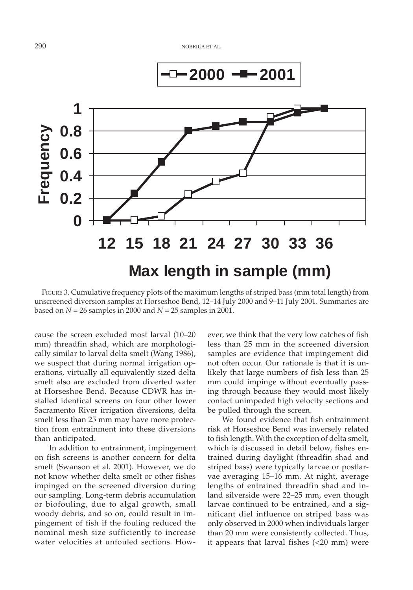

FIGURE 3. Cumulative frequency plots of the maximum lengths of striped bass (mm total length) from unscreened diversion samples at Horseshoe Bend, 12–14 July 2000 and 9–11 July 2001. Summaries are based on  $N = 26$  samples in 2000 and  $N = 25$  samples in 2001.

cause the screen excluded most larval (10–20 mm) threadfin shad, which are morphologically similar to larval delta smelt (Wang 1986), we suspect that during normal irrigation operations, virtually all equivalently sized delta smelt also are excluded from diverted water at Horseshoe Bend. Because CDWR has installed identical screens on four other lower Sacramento River irrigation diversions, delta smelt less than 25 mm may have more protection from entrainment into these diversions than anticipated.

In addition to entrainment, impingement on fish screens is another concern for delta smelt (Swanson et al. 2001). However, we do not know whether delta smelt or other fishes impinged on the screened diversion during our sampling. Long-term debris accumulation or biofouling, due to algal growth, small woody debris, and so on, could result in impingement of fish if the fouling reduced the nominal mesh size sufficiently to increase water velocities at unfouled sections. However, we think that the very low catches of fish less than 25 mm in the screened diversion samples are evidence that impingement did not often occur. Our rationale is that it is unlikely that large numbers of fish less than 25 mm could impinge without eventually passing through because they would most likely contact unimpeded high velocity sections and be pulled through the screen.

We found evidence that fish entrainment risk at Horseshoe Bend was inversely related to fish length. With the exception of delta smelt, which is discussed in detail below, fishes entrained during daylight (threadfin shad and striped bass) were typically larvae or postlarvae averaging 15–16 mm. At night, average lengths of entrained threadfin shad and inland silverside were 22–25 mm, even though larvae continued to be entrained, and a significant diel influence on striped bass was only observed in 2000 when individuals larger than 20 mm were consistently collected. Thus, it appears that larval fishes (<20 mm) were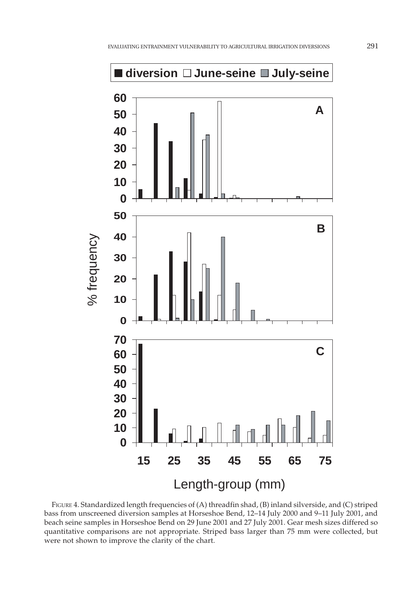

FIGURE 4. Standardized length frequencies of (A) threadfin shad, (B) inland silverside, and (C) striped bass from unscreened diversion samples at Horseshoe Bend, 12–14 July 2000 and 9–11 July 2001, and beach seine samples in Horseshoe Bend on 29 June 2001 and 27 July 2001. Gear mesh sizes differed so quantitative comparisons are not appropriate. Striped bass larger than 75 mm were collected, but were not shown to improve the clarity of the chart.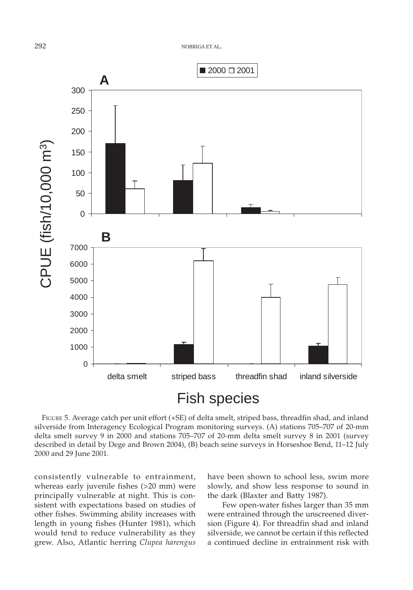



FIGURE 5. Average catch per unit effort (+SE) of delta smelt, striped bass, threadfin shad, and inland silverside from Interagency Ecological Program monitoring surveys. (A) stations 705–707 of 20-mm delta smelt survey 9 in 2000 and stations 705–707 of 20-mm delta smelt survey 8 in 2001 (survey described in detail by Dege and Brown 2004), (B) beach seine surveys in Horseshoe Bend, 11–12 July

consistently vulnerable to entrainment, whereas early juvenile fishes (>20 mm) were principally vulnerable at night. This is consistent with expectations based on studies of other fishes. Swimming ability increases with length in young fishes (Hunter 1981), which would tend to reduce vulnerability as they grew. Also, Atlantic herring *Clupea harengus*

have been shown to school less, swim more slowly, and show less response to sound in the dark (Blaxter and Batty 1987).

Few open-water fishes larger than 35 mm were entrained through the unscreened diversion (Figure 4). For threadfin shad and inland silverside, we cannot be certain if this reflected a continued decline in entrainment risk with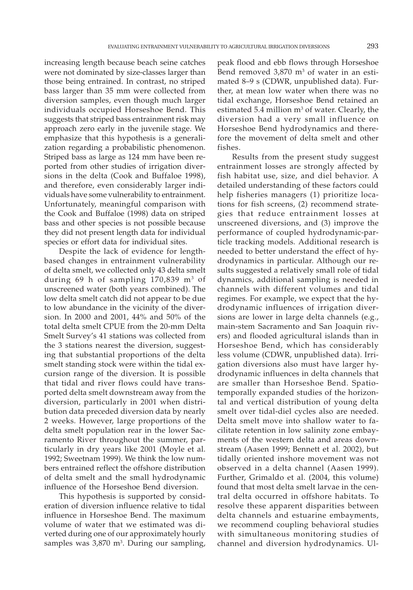increasing length because beach seine catches were not dominated by size-classes larger than those being entrained. In contrast, no striped bass larger than 35 mm were collected from diversion samples, even though much larger individuals occupied Horseshoe Bend. This suggests that striped bass entrainment risk may approach zero early in the juvenile stage. We emphasize that this hypothesis is a generalization regarding a probabilistic phenomenon. Striped bass as large as 124 mm have been reported from other studies of irrigation diversions in the delta (Cook and Buffaloe 1998), and therefore, even considerably larger individuals have some vulnerability to entrainment. Unfortunately, meaningful comparison with the Cook and Buffaloe (1998) data on striped bass and other species is not possible because they did not present length data for individual species or effort data for individual sites.

Despite the lack of evidence for lengthbased changes in entrainment vulnerability of delta smelt, we collected only 43 delta smelt during 69 h of sampling  $170,839$  m<sup>3</sup> of unscreened water (both years combined). The low delta smelt catch did not appear to be due to low abundance in the vicinity of the diversion. In 2000 and 2001, 44% and 50% of the total delta smelt CPUE from the 20-mm Delta Smelt Survey's 41 stations was collected from the 3 stations nearest the diversion, suggesting that substantial proportions of the delta smelt standing stock were within the tidal excursion range of the diversion. It is possible that tidal and river flows could have transported delta smelt downstream away from the diversion, particularly in 2001 when distribution data preceded diversion data by nearly 2 weeks. However, large proportions of the delta smelt population rear in the lower Sacramento River throughout the summer, particularly in dry years like 2001 (Moyle et al. 1992; Sweetnam 1999). We think the low numbers entrained reflect the offshore distribution of delta smelt and the small hydrodynamic influence of the Horseshoe Bend diversion.

This hypothesis is supported by consideration of diversion influence relative to tidal influence in Horseshoe Bend. The maximum volume of water that we estimated was diverted during one of our approximately hourly samples was 3,870 m<sup>3</sup>. During our sampling,

peak flood and ebb flows through Horseshoe Bend removed 3,870 m<sup>3</sup> of water in an estimated 8–9 s (CDWR, unpublished data). Further, at mean low water when there was no tidal exchange, Horseshoe Bend retained an estimated 5.4 million  $m^3$  of water. Clearly, the diversion had a very small influence on Horseshoe Bend hydrodynamics and therefore the movement of delta smelt and other fishes.

Results from the present study suggest entrainment losses are strongly affected by fish habitat use, size, and diel behavior. A detailed understanding of these factors could help fisheries managers (1) prioritize locations for fish screens, (2) recommend strategies that reduce entrainment losses at unscreened diversions, and (3) improve the performance of coupled hydrodynamic-particle tracking models. Additional research is needed to better understand the effect of hydrodynamics in particular. Although our results suggested a relatively small role of tidal dynamics, additional sampling is needed in channels with different volumes and tidal regimes. For example, we expect that the hydrodynamic influences of irrigation diversions are lower in large delta channels (e.g., main-stem Sacramento and San Joaquin rivers) and flooded agricultural islands than in Horseshoe Bend, which has considerably less volume (CDWR, unpublished data). Irrigation diversions also must have larger hydrodynamic influences in delta channels that are smaller than Horseshoe Bend. Spatiotemporally expanded studies of the horizontal and vertical distribution of young delta smelt over tidal-diel cycles also are needed. Delta smelt move into shallow water to facilitate retention in low salinity zone embayments of the western delta and areas downstream (Aasen 1999; Bennett et al. 2002), but tidally oriented inshore movement was not observed in a delta channel (Aasen 1999). Further, Grimaldo et al. (2004, this volume) found that most delta smelt larvae in the central delta occurred in offshore habitats. To resolve these apparent disparities between delta channels and estuarine embayments, we recommend coupling behavioral studies with simultaneous monitoring studies of channel and diversion hydrodynamics. Ul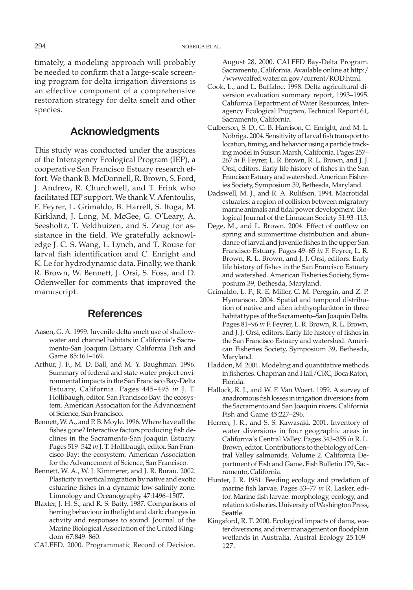timately, a modeling approach will probably be needed to confirm that a large-scale screening program for delta irrigation diversions is an effective component of a comprehensive restoration strategy for delta smelt and other species.

## **Acknowledgments**

This study was conducted under the auspices of the Interagency Ecological Program (IEP), a cooperative San Francisco Estuary research effort. We thank B. McDonnell, R. Brown, S. Ford, J. Andrew, R. Churchwell, and T. Frink who facilitated IEP support. We thank V. Afentoulis, F. Feyrer, L. Grimaldo, B. Harrell, S. Itoga, M. Kirkland, J. Long, M. McGee, G. O'Leary, A. Seesholtz, T. Veldhuizen, and S. Zeug for assistance in the field. We gratefully acknowledge J. C. S. Wang, L. Lynch, and T. Rouse for larval fish identification and C. Enright and K. Le for hydrodynamic data. Finally, we thank R. Brown, W. Bennett, J. Orsi, S. Foss, and D. Odenweller for comments that improved the manuscript.

## **References**

- Aasen, G. A. 1999. Juvenile delta smelt use of shallowwater and channel habitats in California's Sacramento-San Joaquin Estuary. California Fish and Game 85:161–169.
- Arthur, J. F., M. D. Ball, and M. Y. Baughman. 1996. Summary of federal and state water project environmental impacts in the San Francisco Bay-Delta Estuary, California. Pages 445–495 *in* J. T. Hollibaugh, editor. San Francisco Bay: the ecosystem. American Association for the Advancement of Science, San Francisco.
- Bennett, W. A., and P. B. Moyle. 1996. Where have all the fishes gone? Interactive factors producing fish declines in the Sacramento-San Joaquin Estuary. Pages 519–542 *in* J. T. Hollibaugh, editor. San Francisco Bay: the ecosystem. American Association for the Advancement of Science, San Francisco.
- Bennett, W. A., W. J. Kimmerer, and J. R. Burau. 2002. Plasticity in vertical migration by native and exotic estuarine fishes in a dynamic low-salinity zone. Limnology and Oceanography 47:1496–1507.
- Blaxter, J. H. S., and R. S. Batty. 1987. Comparisons of herring behaviour in the light and dark: changes in activity and responses to sound. Journal of the Marine Biological Association of the United Kingdom 67:849–860.
- CALFED. 2000. Programmatic Record of Decision.

August 28, 2000. CALFED Bay-Delta Program. Sacramento, California. Available online at http:/ /wwwcalfed.water.ca.gov/current/ROD.html.

- Cook, L., and L. Buffaloe. 1998. Delta agricultural diversion evaluation summary report, 1993–1995. California Department of Water Resources, Interagency Ecological Program, Technical Report 61, Sacramento, California.
- Culberson, S. D., C. B. Harrison, C. Enright, and M. L. Nobriga. 2004. Sensitivity of larval fish transport to location, timing, and behavior using a particle tracking model in Suisun Marsh, California. Pages 257– 267 *in* F. Feyrer, L. R. Brown, R. L. Brown, and J. J. Orsi, editors. Early life history of fishes in the San Francisco Estuary and watershed. American Fisheries Society, Symposium 39, Bethesda, Maryland.
- Dadswell, M. J., and R. A. Rulifson. 1994. Macrotidal estuaries: a region of collision between migratory marine animals and tidal power development. Biological Journal of the Linnaean Society 51:93–113.
- Dege, M., and L. Brown. 2004. Effect of outflow on spring and summertime distribution and abundance of larval and juvenile fishes in the upper San Francisco Estuary. Pages 49–65 *in* F. Feyrer, L. R. Brown, R. L. Brown, and J. J. Orsi, editors. Early life history of fishes in the San Francisco Estuary and watershed. American Fisheries Society, Symposium 39, Bethesda, Maryland.
- Grimaldo, L. F., R. E. Miller, C. M. Peregrin, and Z. P. Hymanson. 2004. Spatial and temporal distribution of native and alien ichthyoplankton in three habitat types of the Sacramento–San Joaquin Delta. Pages 81–96 *in* F. Feyrer, L. R. Brown, R. L. Brown, and J. J. Orsi, editors. Early life history of fishes in the San Francisco Estuary and watershed. American Fisheries Society, Symposium 39, Bethesda, Maryland.
- Haddon, M. 2001. Modeling and quantitative methods in fisheries. Chapman and Hall/CRC, Boca Raton, Florida.
- Hallock, R. J., and W. F. Van Woert. 1959. A survey of anadromous fish losses in irrigation diversions from the Sacramento and San Joaquin rivers. California Fish and Game 45:227–296.
- Herren, J. R., and S. S. Kawasaki. 2001. Inventory of water diversions in four geographic areas in California's Central Valley. Pages 343–355 *in* R. L. Brown, editor. Contributions to the biology of Central Valley salmonids, Volume 2. California Department of Fish and Game, Fish Bulletin 179, Sacramento, California.
- Hunter, J. R. 1981. Feeding ecology and predation of marine fish larvae. Pages 33–77 *in* R. Lasker, editor. Marine fish larvae: morphology, ecology, and relation to fisheries. University of Washington Press, Seattle.
- Kingsford, R. T. 2000. Ecological impacts of dams, water diversions, and river management on floodplain wetlands in Australia. Austral Ecology 25:109– 127.